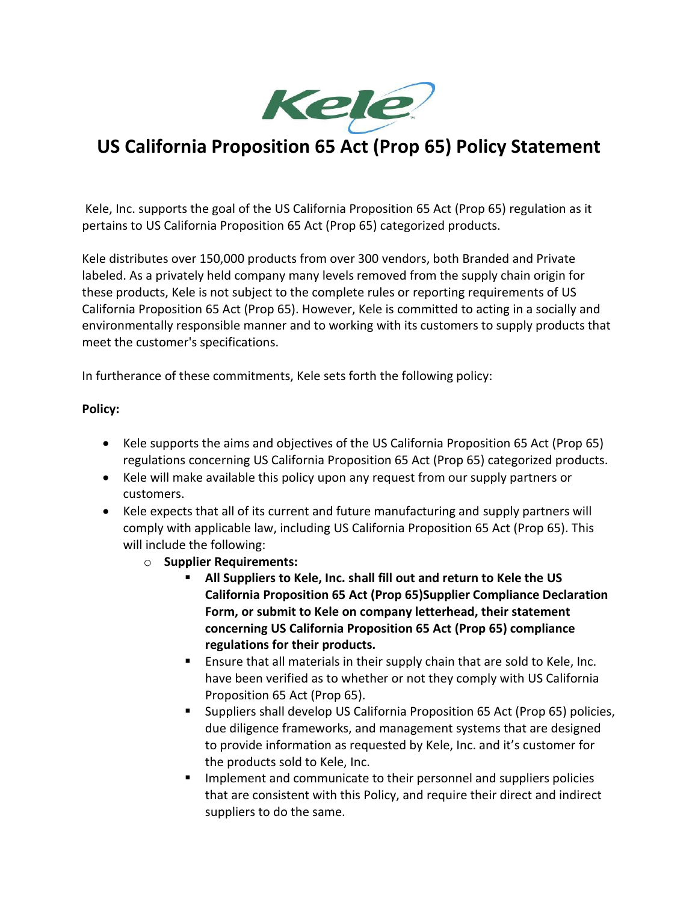

## **US California Proposition 65 Act (Prop 65) Policy Statement**

Kele, Inc. supports the goal of the US California Proposition 65 Act (Prop 65) regulation as it pertains to US California Proposition 65 Act (Prop 65) categorized products.

Kele distributes over 150,000 products from over 300 vendors, both Branded and Private labeled. As a privately held company many levels removed from the supply chain origin for these products, Kele is not subject to the complete rules or reporting requirements of US California Proposition 65 Act (Prop 65). However, Kele is committed to acting in a socially and environmentally responsible manner and to working with its customers to supply products that meet the customer's specifications.

In furtherance of these commitments, Kele sets forth the following policy:

## **Policy:**

- Kele supports the aims and objectives of the US California Proposition 65 Act (Prop 65) regulations concerning US California Proposition 65 Act (Prop 65) categorized products.
- Kele will make available this policy upon any request from our supply partners or customers.
- Kele expects that all of its current and future manufacturing and supply partners will comply with applicable law, including US California Proposition 65 Act (Prop 65). This will include the following:
	- o **Supplier Requirements:**
		- **All Suppliers to Kele, Inc. shall fill out and return to Kele the US California Proposition 65 Act (Prop 65)Supplier Compliance Declaration Form, or submit to Kele on company letterhead, their statement concerning US California Proposition 65 Act (Prop 65) compliance regulations for their products.**
		- Ensure that all materials in their supply chain that are sold to Kele, Inc. have been verified as to whether or not they comply with US California Proposition 65 Act (Prop 65).
		- Suppliers shall develop US California Proposition 65 Act (Prop 65) policies, due diligence frameworks, and management systems that are designed to provide information as requested by Kele, Inc. and it's customer for the products sold to Kele, Inc.
		- Implement and communicate to their personnel and suppliers policies that are consistent with this Policy, and require their direct and indirect suppliers to do the same.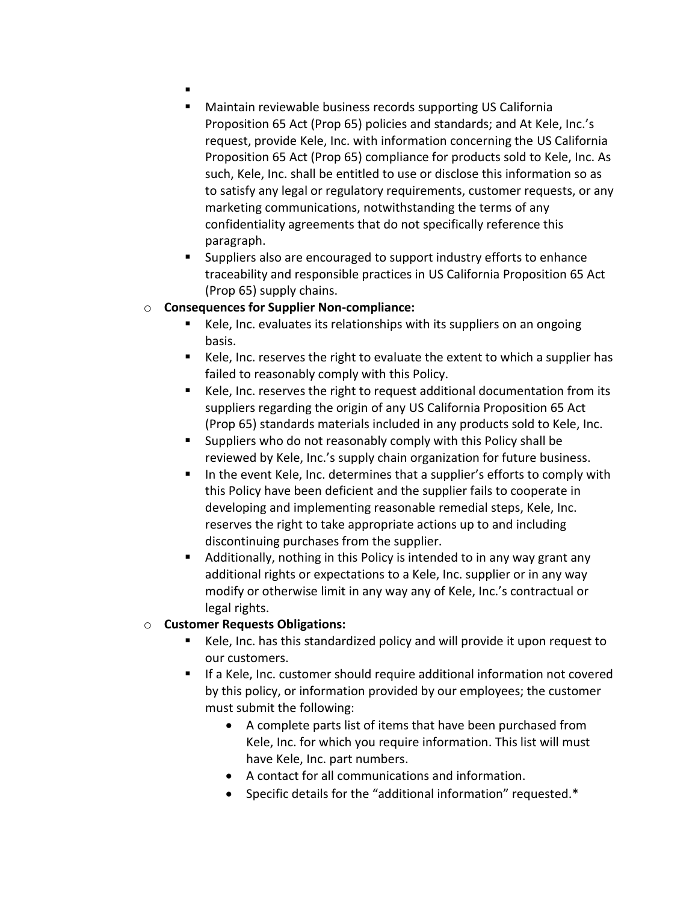- ▪
- Maintain reviewable business records supporting US California Proposition 65 Act (Prop 65) policies and standards; and At Kele, Inc.'s request, provide Kele, Inc. with information concerning the US California Proposition 65 Act (Prop 65) compliance for products sold to Kele, Inc. As such, Kele, Inc. shall be entitled to use or disclose this information so as to satisfy any legal or regulatory requirements, customer requests, or any marketing communications, notwithstanding the terms of any confidentiality agreements that do not specifically reference this paragraph.
- Suppliers also are encouraged to support industry efforts to enhance traceability and responsible practices in US California Proposition 65 Act (Prop 65) supply chains.

## o **Consequences for Supplier Non-compliance:**

- Kele, Inc. evaluates its relationships with its suppliers on an ongoing basis.
- Kele, Inc. reserves the right to evaluate the extent to which a supplier has failed to reasonably comply with this Policy.
- Kele, Inc. reserves the right to request additional documentation from its suppliers regarding the origin of any US California Proposition 65 Act (Prop 65) standards materials included in any products sold to Kele, Inc.
- Suppliers who do not reasonably comply with this Policy shall be reviewed by Kele, Inc.'s supply chain organization for future business.
- In the event Kele, Inc. determines that a supplier's efforts to comply with this Policy have been deficient and the supplier fails to cooperate in developing and implementing reasonable remedial steps, Kele, Inc. reserves the right to take appropriate actions up to and including discontinuing purchases from the supplier.
- Additionally, nothing in this Policy is intended to in any way grant any additional rights or expectations to a Kele, Inc. supplier or in any way modify or otherwise limit in any way any of Kele, Inc.'s contractual or legal rights.

## o **Customer Requests Obligations:**

- Kele, Inc. has this standardized policy and will provide it upon request to our customers.
- If a Kele, Inc. customer should require additional information not covered by this policy, or information provided by our employees; the customer must submit the following:
	- A complete parts list of items that have been purchased from Kele, Inc. for which you require information. This list will must have Kele, Inc. part numbers.
	- A contact for all communications and information.
	- Specific details for the "additional information" requested.\*